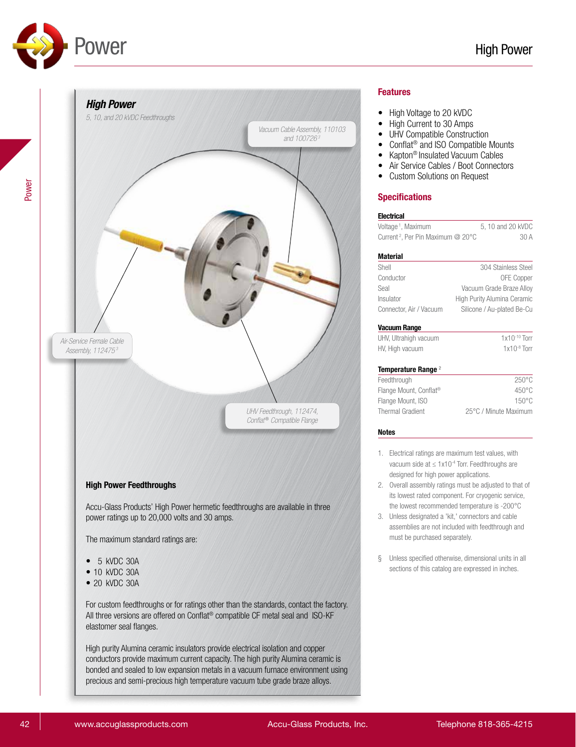

# *High Power 5, 10, and 20 kVDC Feedthroughs Vacuum Cable Assembly, 110103 and 100726 3 Air-Service Female Cable Assembly, 112475 3 UHV Feedthrough, 112474, Conflat* ® *Compatible Flange* High Power Feedthroughs Accu-Glass Products' High Power hermetic feedthroughs are available in three power ratings up to 20,000 volts and 30 amps. The maximum standard ratings are: • 5 kVDC 30A • 10 kVDC 30A • 20 kVDC 30A For custom feedthroughs or for ratings other than the standards, contact the factory. All three versions are offered on Conflat® compatible CF metal seal and ISO-KF elastomer seal flanges. High purity Alumina ceramic insulators provide electrical isolation and copper conductors provide maximum current capacity. The high purity Alumina ceramic is bonded and sealed to low expansion metals in a vacuum furnace environment using precious and semi-precious high temperature vacuum tube grade braze alloys.

## Features

- High Voltage to 20 kVDC
- High Current to 30 Amps
- UHV Compatible Construction
- Conflat® and ISO Compatible Mounts
- Kapton® Insulated Vacuum Cables
- Air Service Cables / Boot Connectors
- Custom Solutions on Request

# Specifications

| Voltage <sup>1</sup> , Maximum                | 5, 10 and 20 kVDC           |
|-----------------------------------------------|-----------------------------|
| Current <sup>2</sup> , Per Pin Maximum @ 20°C | 30A                         |
| Material                                      |                             |
| Shell                                         | 304 Stainless Steel         |
| Conductor                                     | <b>OFE Copper</b>           |
| Seal                                          | Vacuum Grade Braze Alloy    |
| Insulator                                     | High Purity Alumina Ceramic |
| Connector, Air / Vacuum                       | Silicone / Au-plated Be-Cu  |
| Vacuum Range                                  |                             |
| UHV, Ultrahigh vacuum                         | $1x10^{-10}$ Torr           |
| HV, High vacuum                               | $1x10^{-8}$ Torr            |
| Temperature Range <sup>2</sup>                |                             |
| Feedthrough                                   | 250°C                       |
| Flange Mount, Conflat <sup>®</sup>            | $450^{\circ}$ C             |
| Flange Mount, ISO                             | $150^{\circ}$ C             |
| Thermal Gradient                              | 25°C / Minute Maximum       |

#### Notes

- 1. Electrical ratings are maximum test values, with vacuum side at ≤ 1x10-4 Torr. Feedthroughs are designed for high power applications.
- 2. Overall assembly ratings must be adjusted to that of its lowest rated component. For cryogenic service, the lowest recommended temperature is -200°C
- 3. Unless designated a 'kit,' connectors and cable assemblies are not included with feedthrough and must be purchased separately.
- § Unless specified otherwise, dimensional units in all sections of this catalog are expressed in inches.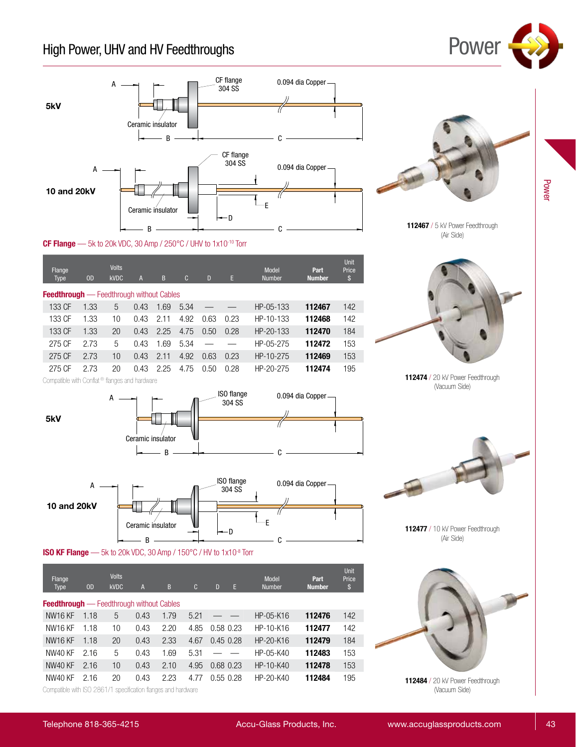# High Power, UHV and HV Feedthroughs **POWET**



112467 / 5 kV Power Feedthrough (Air Side)

CF Flange - 5k to 20k VDC, 30 Amp / 250°C / UHV to 1x10<sup>-10</sup> Torr

| Flange<br><b>Type</b>                           | <sub>OD</sub> | <b>Volts</b><br><b>kVDC</b> | $\overline{A}$ | B    | $\mathbf{C}$ | D    | E    | Model<br><b>Number</b> | Part<br><b>Number</b> | <b>Unit</b><br>Price<br>\$ |  |
|-------------------------------------------------|---------------|-----------------------------|----------------|------|--------------|------|------|------------------------|-----------------------|----------------------------|--|
| <b>Feedthrough</b> - Feedthrough without Cables |               |                             |                |      |              |      |      |                        |                       |                            |  |
| 133 CF                                          | 1.33          | 5                           | 0.43           | 1.69 | 5.34         |      |      | HP-05-133              | 112467                | 142                        |  |
| 133 CF                                          | 1.33          | 10                          | 0.43           | 2.11 | 4.92         | 0.63 | 0.23 | HP-10-133              | 112468                | 142                        |  |
| 133 CF                                          | 1.33          | 20                          | 0.43           | 2.25 | 4.75         | 0.50 | 0.28 | HP-20-133              | 112470                | 184                        |  |
| 275 CF                                          | 2.73          | 5                           | 0.43           | 1.69 | 5.34         |      |      | HP-05-275              | 112472                | 153                        |  |
| 275 CF                                          | 2.73          | 10                          | 0.43           | 2.11 | 4.92         | 0.63 | 0.23 | HP-10-275              | 112469                | 153                        |  |
| 275 CF                                          | 2.73          | 20                          | 0.43           | 2.25 | 4.75         | 0.50 | 0.28 | HP-20-275              | 112474                | 195                        |  |



112474 / 20 kV Power Feedthrough (Vacuum Side)

Compatible with Conflat ® flanges and hardware

5kV







| Flange<br><b>Type</b>                                         | 0 <sub>D</sub> | <b>Volts</b><br><b>kVDC</b> | A    | B    | $\mathbf{C}$ | D             | E | Model<br><b>Number</b> | Part<br><b>Number</b> | <b>Unit</b><br>Price<br>\$ |  |
|---------------------------------------------------------------|----------------|-----------------------------|------|------|--------------|---------------|---|------------------------|-----------------------|----------------------------|--|
| <b>Feedthrough</b> — Feedthrough without Cables               |                |                             |      |      |              |               |   |                        |                       |                            |  |
| NW <sub>16</sub> KF                                           | 1.18           | 5                           | 0.43 | 1.79 | 5.21         |               |   | HP-05-K16              | 112476                | 142                        |  |
| NW <sub>16</sub> KF                                           | 1.18           | 10                          | 0.43 | 2.20 | 4.85         | 0.58 0.23     |   | HP-10-K16              | 112477                | 142                        |  |
| NW <sub>16</sub> KF                                           | 1.18           | 20                          | 0.43 | 2.33 | 4.67         | $0.45$ 0.28   |   | HP-20-K16              | 112479                | 184                        |  |
| NW40 KF                                                       | 2.16           | 5                           | 0.43 | 1.69 | 5.31         |               |   | HP-05-K40              | 112483                | 153                        |  |
| NW40 KF                                                       | 2.16           | 10                          | 0.43 | 2.10 | 4.95         | $0.68$ $0.23$ |   | HP-10-K40              | 112478                | 153                        |  |
| NW40 KF                                                       | 2.16           | 20                          | 0.43 | 2.23 | 4.77         | $0.55$ $0.28$ |   | HP-20-K40              | 112484                | 195                        |  |
| Compatible with ISO 2861/1 specification flanges and hardware |                |                             |      |      |              |               |   |                        |                       |                            |  |

112477 / 10 kV Power Feedthrough (Air Side)

112484 / 20 kV Power Feedthrough (Vacuum Side)

Power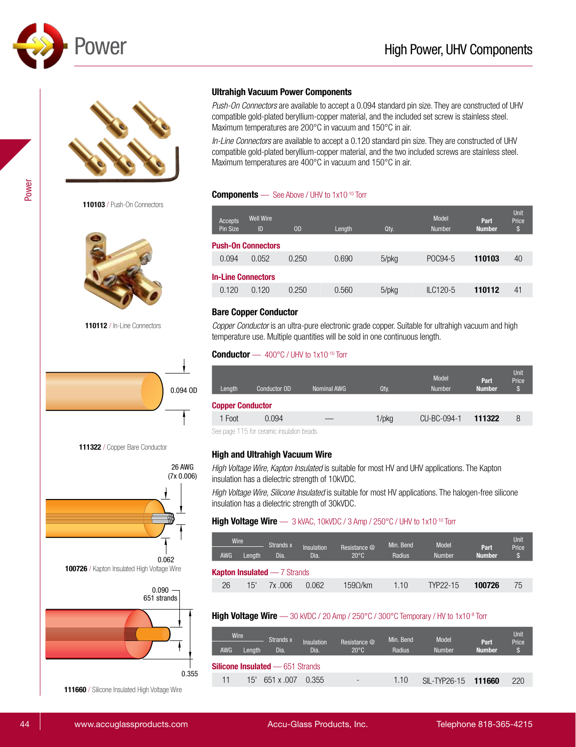



110103 / Push-On Connectors



110112 / In-Line Connectors







111660 / Silicone Insulated High Voltage Wire

# Ultrahigh Vacuum Power Components

*Push-On Connectors* are available to accept a 0.094 standard pin size. They are constructed of UHV compatible gold-plated beryllium-copper material, and the included set screw is stainless steel. Maximum temperatures are 200°C in vacuum and 150°C in air.

*In-Line Connectors* are available to accept a 0.120 standard pin size. They are constructed of UHV compatible gold-plated beryllium-copper material, and the two included screws are stainless steel. Maximum temperatures are 400°C in vacuum and 150°C in air.

## **Components** — See Above / UHV to 1x10<sup>-10</sup> Torr

|                           | Accepts<br>Pin Size | <b>Well Wire</b><br>ID | <sub>OD</sub> | Length | Qty.  | <b>Model</b><br><b>Number</b> | Part<br><b>Number</b> | <b>Unit</b><br>Price<br>'\$ |  |  |
|---------------------------|---------------------|------------------------|---------------|--------|-------|-------------------------------|-----------------------|-----------------------------|--|--|
| <b>Push-On Connectors</b> |                     |                        |               |        |       |                               |                       |                             |  |  |
|                           | 0.094               | 0.052                  | 0.250         | 0.690  | 5/pkg | POC94-5                       | 110103                | 40                          |  |  |
| <b>In-Line Connectors</b> |                     |                        |               |        |       |                               |                       |                             |  |  |
|                           | 0.120               | 0.120                  | 0.250         | 0.560  | 5/pkg | $ILC120-5$                    | 110112                | 41                          |  |  |
|                           |                     |                        |               |        |       |                               |                       |                             |  |  |

#### Bare Copper Conductor

*Copper Conductor* is an ultra-pure electronic grade copper. Suitable for ultrahigh vacuum and high temperature use. Multiple quantities will be sold in one continuous length.

#### Conductor  $-400^{\circ}$ C / UHV to 1x10<sup>-10</sup> Torr

| Length                  | Conductor OD | Nominal AWG | Qty.  | <b>Model</b><br><b>Number</b> | Part<br><b>Number</b> | Unit<br>Price<br>S |  |  |  |
|-------------------------|--------------|-------------|-------|-------------------------------|-----------------------|--------------------|--|--|--|
| <b>Copper Conductor</b> |              |             |       |                               |                       |                    |  |  |  |
| 1 Foot                  | 0.094        |             | 1/pkg | CU-BC-094-1                   | 111322                | 8                  |  |  |  |

See page 115 for ceramic insulation beads.

# High and Ultrahigh Vacuum Wire

*High Voltage Wire, Kapton Insulated* is suitable for most HV and UHV applications. The Kapton insulation has a dielectric strength of 10kVDC.

*High Voltage Wire, Silicone Insulated* is suitable for most HV applications. The halogen-free silicone insulation has a dielectric strength of 30kVDC.

#### High Voltage Wire  $-$  3 kVAC, 10kVDC / 3 Amp / 250°C / UHV to 1x10<sup>-10</sup> Torr

| Wire |                                     | Strands x |        |                    | Min. Bend                      | Model  |               | <b>Unit</b>           |                       |  |  |
|------|-------------------------------------|-----------|--------|--------------------|--------------------------------|--------|---------------|-----------------------|-----------------------|--|--|
|      | AWG.                                | Lenath    | Dia.   | Insulation<br>Dia. | Resistance @<br>$20^{\circ}$ C | Radius | <b>Number</b> | Part<br><b>Number</b> | Price<br>$\mathbb{S}$ |  |  |
|      | <b>Kapton Insulated — 7 Strands</b> |           |        |                    |                                |        |               |                       |                       |  |  |
|      | 26                                  | 15'       | 7x.006 | 0.062              | 1590/km                        | 1.10   | TYP22-15      | 100726                | 75                    |  |  |

#### High Voltage Wire — 30 kVDC / 20 Amp / 250°C / 300°C Temporary / HV to 1x10<sup>-8</sup> Torr

|                                         | Wire<br><b>AWG</b> | Lenath | Strands x<br>Dia. | Insulation<br>Dia. | Resistance @<br>$20^{\circ}$ C | Min. Bend<br>Radius | Model<br><b>Number</b> | Part<br><b>Number</b> | Unit<br>Price<br>S. |
|-----------------------------------------|--------------------|--------|-------------------|--------------------|--------------------------------|---------------------|------------------------|-----------------------|---------------------|
| <b>Silicone Insulated — 651 Strands</b> |                    |        |                   |                    |                                |                     |                        |                       |                     |
|                                         | 11                 | 15'    | 651 x .007        | 0.355              | $\qquad \qquad \blacksquare$   | 1.10                | <b>SIL-TYP26-15</b>    | 111660                | 220                 |

44 www.accuglassproducts.com Accu-Glass Products, Inc. Telephone 818-365-4215